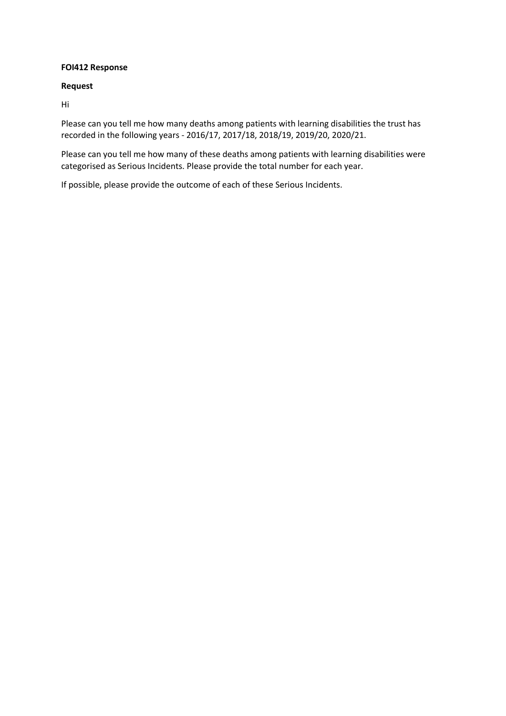## **FOI412 Response**

## **Request**

Hi

Please can you tell me how many deaths among patients with learning disabilities the trust has recorded in the following years - 2016/17, 2017/18, 2018/19, 2019/20, 2020/21.

Please can you tell me how many of these deaths among patients with learning disabilities were categorised as Serious Incidents. Please provide the total number for each year.

If possible, please provide the outcome of each of these Serious Incidents.